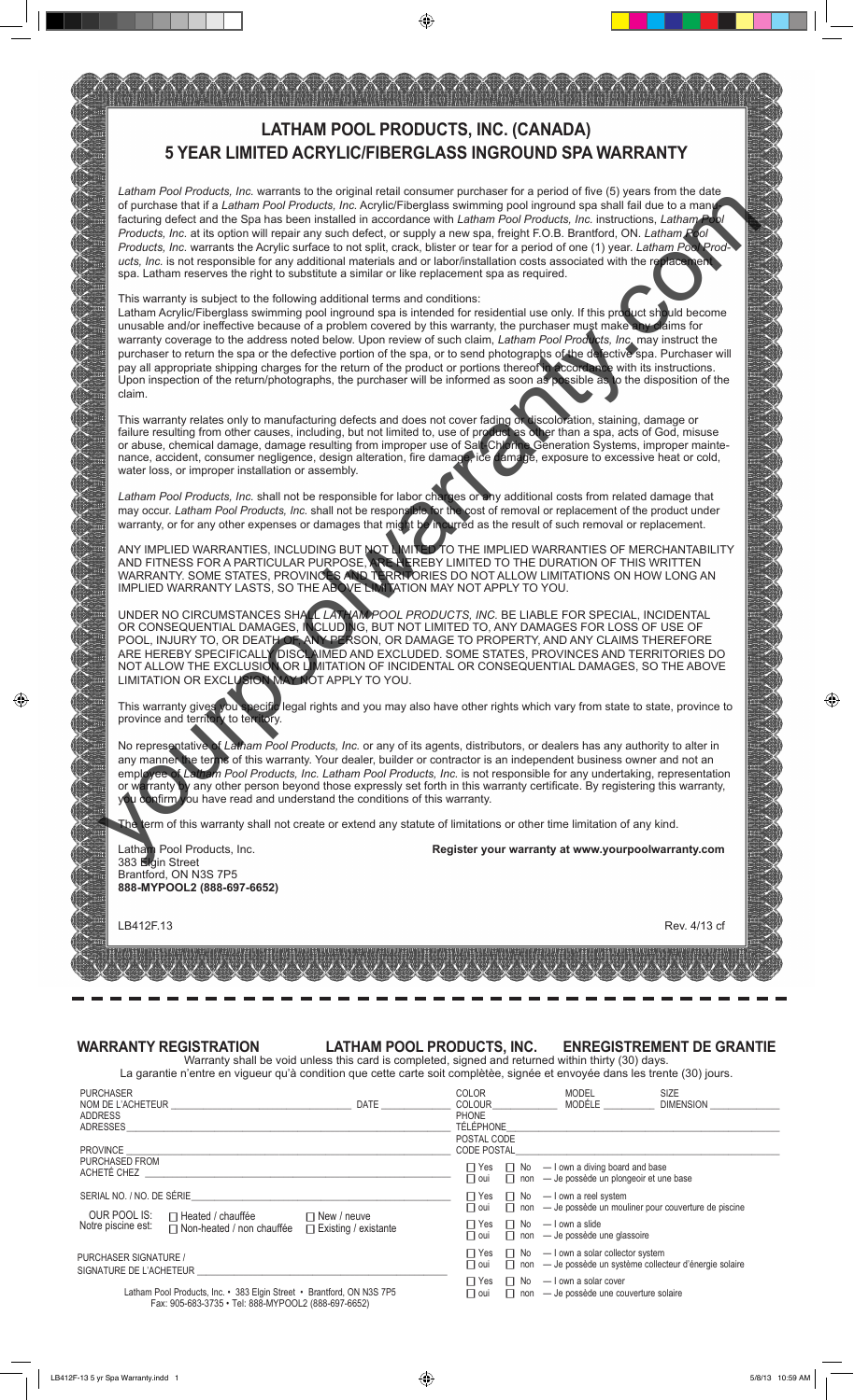

⊕

## **WARRANTY REGISTRATION LATHAM POOL PRODUCTS, INC. ENREGISTREMENT DE GRANTIE**

Warranty shall be void unless this card is completed, signed and returned within thirty (30) days.<br>Digitize an viguous qu'à condition que est e carte soit complètée, signée et enveyée dans les tropte (30) jour La garantie n'entre en vigueur qu'à condition que cette carte soit complètèe, signée et envoyée dans les trente (30) jours.

|                                                                                                                              | La garantie il chire chi viguedi qu'a condition que cette carte soit compiètee, signee et envoyée dans les trente (507 jours. |                                                   |                          |                            |                                                                                                                            |                                                                                |  |
|------------------------------------------------------------------------------------------------------------------------------|-------------------------------------------------------------------------------------------------------------------------------|---------------------------------------------------|--------------------------|----------------------------|----------------------------------------------------------------------------------------------------------------------------|--------------------------------------------------------------------------------|--|
| <b>PURCHASER</b>                                                                                                             | NOM DE L'ACHETEUR                                                                                                             | <b>DATE</b>                                       | COLOR<br><b>COLOUR</b>   |                            | MODEL<br>MODÉLE                                                                                                            | <b>SIZE</b><br><b>DIMENSION</b>                                                |  |
| <b>ADDRESS</b><br>ADRESSES                                                                                                   |                                                                                                                               | PHONE<br>TÉLÉPHONE                                |                          |                            |                                                                                                                            |                                                                                |  |
|                                                                                                                              |                                                                                                                               |                                                   |                          | POSTAL CODE<br>CODE POSTAL |                                                                                                                            |                                                                                |  |
|                                                                                                                              |                                                                                                                               |                                                   |                          |                            |                                                                                                                            |                                                                                |  |
| PURCHASED FROM<br>ACHETÉ CHEZ                                                                                                |                                                                                                                               |                                                   |                          |                            | $\Box$ Yes $\Box$ No $-$ I own a diving board and base<br>$\Box$ oui $\Box$ non $\Box$ be possède un plongeoir et une base |                                                                                |  |
| SERIAL NO. / NO. DE SÉRIE                                                                                                    |                                                                                                                               |                                                   |                          |                            | $\Box$ Yes $\Box$ No $\Box$ I own a reel system                                                                            |                                                                                |  |
| OUR POOL IS:<br>Notre piscine est:                                                                                           | □ Heated / chauffée<br>$\Box$ Non-heated / non chauffée                                                                       | $\Box$ New / neuve<br>$\Box$ Existing / existante |                          |                            |                                                                                                                            | $\Box$ oui $\Box$ non $\Box$ be possède un mouliner pour couverture de piscine |  |
|                                                                                                                              |                                                                                                                               |                                                   |                          |                            | $\Box$ Yes $\Box$ No $\Box$ I own a slide<br>$\Box$ oui $\Box$ non $\Box$ be possède une glassoire                         |                                                                                |  |
| PURCHASER SIGNATURE /<br>SIGNATURE DE L'ACHETEUR                                                                             |                                                                                                                               |                                                   | $\Box$ oui               |                            | $\Box$ Yes $\Box$ No $-$ I own a solar collector system<br>□ non - Je possède un système collecteur d'énergie solaire      |                                                                                |  |
| Latham Pool Products, Inc. • 383 Elgin Street • Brantford, ON N3S 7P5<br>Fax: 905-683-3735 • Tel: 888-MYPOOL2 (888-697-6652) |                                                                                                                               |                                                   | $\Box$ Yes<br>$\Box$ oui |                            | $\Box$ No $\Box$ I own a solar cover<br>$\Box$ non $\Box$ de possède une couverture solaire                                |                                                                                |  |